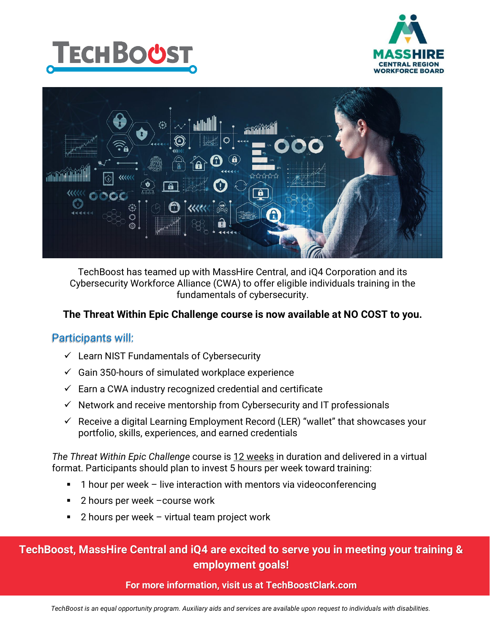





TechBoost has teamed up with MassHire Central, and iQ4 Corporation and its Cybersecurity Workforce Alliance (CWA) to offer eligible individuals training in the fundamentals of cybersecurity.

### **The Threat Within Epic Challenge course is now available at NO COST to you.**

### Participants will:

- $\checkmark$  Learn NIST Fundamentals of Cybersecurity
- $\checkmark$  Gain 350-hours of simulated workplace experience
- $\checkmark$  Earn a CWA industry recognized credential and certificate
- $\checkmark$  Network and receive mentorship from Cybersecurity and IT professionals
- $\checkmark$  Receive a digital Learning Employment Record (LER) "wallet" that showcases your portfolio, skills, experiences, and earned credentials

*The Threat Within Epic Challenge* course is 12 weeks in duration and delivered in a virtual format. Participants should plan to invest 5 hours per week toward training:

- 1 hour per week live interaction with mentors via videoconferencing
- 2 hours per week –course work
- 2 hours per week virtual team project work

## **TechBoost, MassHire Central and iQ4 are excited to serve you in meeting your training & employment goals!**

### **For more information, visit us at TechBoostClark.com**